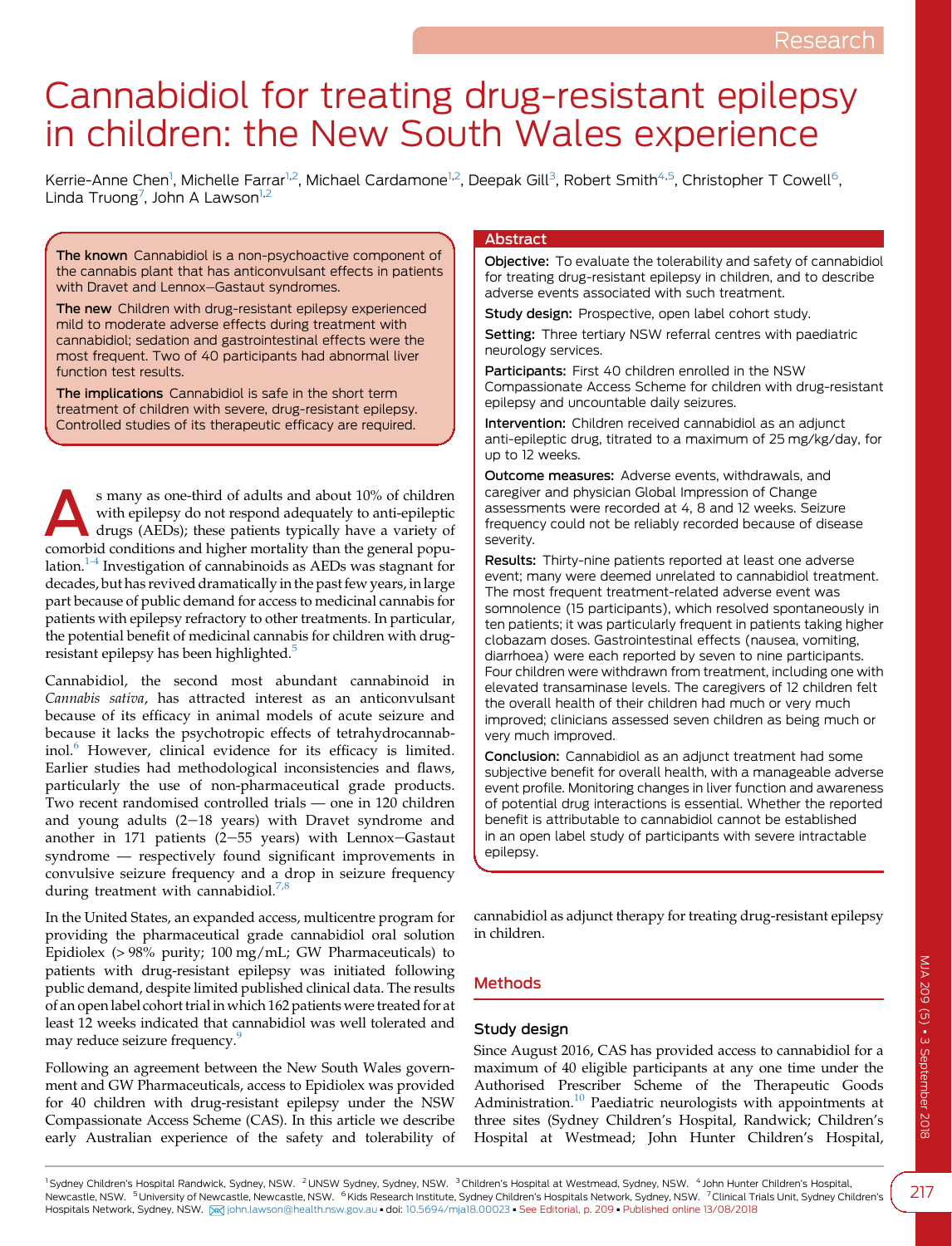# Cannabidiol for treating drug-resistant epilepsy in children: the New South Wales experience

Kerrie-Anne Chen<sup>1</sup>, Michelle Farrar<sup>1,2</sup>, Michael Cardamone<sup>1,2</sup>, Deepak Gill<sup>3</sup>, Robert Smith<sup>4,5</sup>, Christopher T Cowell<sup>6</sup>, Linda Truong<sup>7</sup>, John A Lawson<sup>1,2</sup>

The known Cannabidiol is a non-psychoactive component of the cannabis plant that has anticonvulsant effects in patients with Dravet and Lennox-Gastaut syndromes.

The new Children with drug-resistant epilepsy experienced mild to moderate adverse effects during treatment with cannabidiol; sedation and gastrointestinal effects were the most frequent. Two of 40 participants had abnormal liver function test results.

The implications Cannabidiol is safe in the short term treatment of children with severe, drug-resistant epilepsy. Controlled studies of its therapeutic efficacy are required.

s many as one-third of adults and about 10% of children<br>with epilepsy do not respond adequately to anti-epileptic<br>drugs (AEDs); these patients typically have a variety of<br>comorbid conditions and bigher motellity than the c with epilepsy do not respond adequately to anti-epileptic drugs (AEDs); these patients typically have a variety of comorbid conditions and higher mortality than the general population.[1-4](#page-4-0) Investigation of cannabinoids as AEDs was stagnant for decades, but has revived dramatically in the past few years, in large part because of public demand for access to medicinal cannabis for patients with epilepsy refractory to other treatments. In particular, the potential benefit of medicinal cannabis for children with drug-resistant epilepsy has been highlighted.<sup>[5](#page-4-0)</sup>

Cannabidiol, the second most abundant cannabinoid in Cannabis sativa, has attracted interest as an anticonvulsant because of its efficacy in animal models of acute seizure and because it lacks the psychotropic effects of tetrahydrocannab-inol.<sup>[6](#page-4-0)</sup> However, clinical evidence for its efficacy is limited. Earlier studies had methodological inconsistencies and flaws, particularly the use of non-pharmaceutical grade products. Two recent randomised controlled trials — one in 120 children and young adults  $(2-18$  years) with Dravet syndrome and another in 171 patients (2-55 years) with Lennox-Gastaut syndrome — respectively found significant improvements in convulsive seizure frequency and a drop in seizure frequency during treatment with cannabidiol.<sup>7,</sup>

In the United States, an expanded access, multicentre program for providing the pharmaceutical grade cannabidiol oral solution Epidiolex (> 98% purity; 100 mg/mL; GW Pharmaceuticals) to patients with drug-resistant epilepsy was initiated following public demand, despite limited published clinical data. The results of an open label cohort trial in which 162 patients were treated for at least 12 weeks indicated that cannabidiol was well tolerated and may reduce seizure frequency.<sup>[9](#page-4-0)</sup>

Following an agreement between the New South Wales government and GW Pharmaceuticals, access to Epidiolex was provided for 40 children with drug-resistant epilepsy under the NSW Compassionate Access Scheme (CAS). In this article we describe early Australian experience of the safety and tolerability of

# Abstract

Objective: To evaluate the tolerability and safety of cannabidiol for treating drug-resistant epilepsy in children, and to describe adverse events associated with such treatment.

Study design: Prospective, open label cohort study.

Setting: Three tertiary NSW referral centres with paediatric neurology services.

Participants: First 40 children enrolled in the NSW Compassionate Access Scheme for children with drug-resistant epilepsy and uncountable daily seizures.

Intervention: Children received cannabidiol as an adjunct anti-epileptic drug, titrated to a maximum of 25 mg/kg/day, for up to 12 weeks.

Outcome measures: Adverse events, withdrawals, and caregiver and physician Global Impression of Change assessments were recorded at 4, 8 and 12 weeks. Seizure frequency could not be reliably recorded because of disease severity.

Results: Thirty-nine patients reported at least one adverse event; many were deemed unrelated to cannabidiol treatment. The most frequent treatment-related adverse event was somnolence (15 participants), which resolved spontaneously in ten patients; it was particularly frequent in patients taking higher clobazam doses. Gastrointestinal effects (nausea, vomiting, diarrhoea) were each reported by seven to nine participants. Four children were withdrawn from treatment, including one with elevated transaminase levels. The caregivers of 12 children felt the overall health of their children had much or very much improved; clinicians assessed seven children as being much or very much improved.

Conclusion: Cannabidiol as an adjunct treatment had some subjective benefit for overall health, with a manageable adverse event profile. Monitoring changes in liver function and awareness of potential drug interactions is essential. Whether the reported benefit is attributable to cannabidiol cannot be established in an open label study of participants with severe intractable epilepsy.

cannabidiol as adjunct therapy for treating drug-resistant epilepsy in children.

# Methods

# Study design

Since August 2016, CAS has provided access to cannabidiol for a maximum of 40 eligible participants at any one time under the Authorised Prescriber Scheme of the Therapeutic Goods Administration.<sup>[10](#page-4-0)</sup> Paediatric neurologists with appointments at three sites (Sydney Children's Hospital, Randwick; Children's Hospital at Westmead; John Hunter Children's Hospital,

<sup>1</sup> Sydney Children's Hospital Randwick, Sydney, NSW. <sup>2</sup> UNSW Sydney, Sydney, NSW. <sup>3</sup> Children's Hospital at Westmead, Sydney, NSW. <sup>4</sup> John Hunter Children's Hospital, Newcastle, NSW. <sup>5</sup>University of Newcastle, Newcastle, NSW. <sup>6</sup>Kids Research Institute, Sydney Children's Hospitals Network, Sydney, NSW. <sup>7</sup> Clinical Trials Unit, Sydney Children's Hospitals Network, Sydney, NSW. [X] [john.lawson@health.nsw.gov.au](mailto:john.lawson@health.nsw.gov.au) · doi: [10.5694/mja18.00023](https://doi.org/10.5694/mja18.00023) · See Editorial, p. 209 · Published online 13/08/2018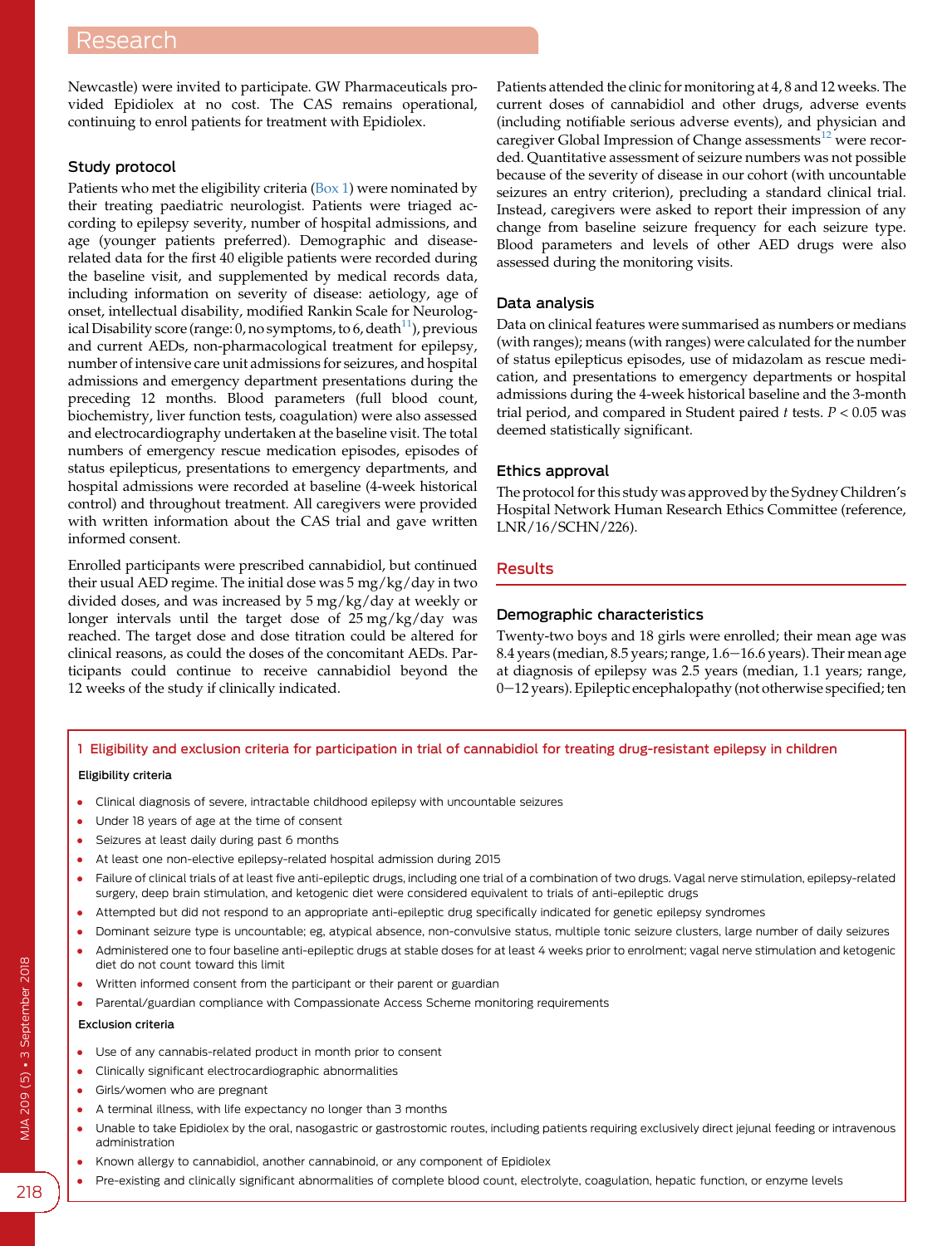Newcastle) were invited to participate. GW Pharmaceuticals provided Epidiolex at no cost. The CAS remains operational, continuing to enrol patients for treatment with Epidiolex.

# Study protocol

Patients who met the eligibility criteria (Box 1) were nominated by their treating paediatric neurologist. Patients were triaged according to epilepsy severity, number of hospital admissions, and age (younger patients preferred). Demographic and diseaserelated data for the first 40 eligible patients were recorded during the baseline visit, and supplemented by medical records data, including information on severity of disease: aetiology, age of onset, intellectual disability, modified Rankin Scale for Neurological Disability score (range: 0, no symptoms, to 6, death $^{11}$ ), previous and current AEDs, non-pharmacological treatment for epilepsy, number of intensive care unit admissions for seizures, and hospital admissions and emergency department presentations during the preceding 12 months. Blood parameters (full blood count, biochemistry, liver function tests, coagulation) were also assessed and electrocardiography undertaken at the baseline visit. The total numbers of emergency rescue medication episodes, episodes of status epilepticus, presentations to emergency departments, and hospital admissions were recorded at baseline (4-week historical control) and throughout treatment. All caregivers were provided with written information about the CAS trial and gave written informed consent.

Enrolled participants were prescribed cannabidiol, but continued their usual AED regime. The initial dose was 5 mg/kg/day in two divided doses, and was increased by 5 mg/kg/day at weekly or longer intervals until the target dose of 25 mg/kg/day was reached. The target dose and dose titration could be altered for clinical reasons, as could the doses of the concomitant AEDs. Participants could continue to receive cannabidiol beyond the 12 weeks of the study if clinically indicated.

Patients attended the clinic for monitoring at 4, 8 and 12 weeks. The current doses of cannabidiol and other drugs, adverse events (including notifiable serious adverse events), and physician and caregiver Global Impression of Change assessments<sup>[12](#page-4-0)</sup> were recorded. Quantitative assessment of seizure numbers was not possible because of the severity of disease in our cohort (with uncountable seizures an entry criterion), precluding a standard clinical trial. Instead, caregivers were asked to report their impression of any change from baseline seizure frequency for each seizure type. Blood parameters and levels of other AED drugs were also assessed during the monitoring visits.

# Data analysis

Data on clinical features were summarised as numbers or medians (with ranges); means (with ranges) were calculated for the number of status epilepticus episodes, use of midazolam as rescue medication, and presentations to emergency departments or hospital admissions during the 4-week historical baseline and the 3-month trial period, and compared in Student paired  $t$  tests.  $P < 0.05$  was deemed statistically significant.

# Ethics approval

The protocol for this study was approved by the Sydney Children's Hospital Network Human Research Ethics Committee (reference, LNR/16/SCHN/226).

# Results

# Demographic characteristics

Twenty-two boys and 18 girls were enrolled; their mean age was 8.4 years (median, 8.5 years; range, 1.6-16.6 years). Their mean age at diagnosis of epilepsy was 2.5 years (median, 1.1 years; range,  $0-12$  years). Epileptic encephalopathy (not otherwise specified; ten

# 1 Eligibility and exclusion criteria for participation in trial of cannabidiol for treating drug-resistant epilepsy in children

#### Eligibility criteria

- Clinical diagnosis of severe, intractable childhood epilepsy with uncountable seizures
- Under 18 years of age at the time of consent
- Seizures at least daily during past 6 months
- At least one non-elective epilepsy-related hospital admission during 2015
- Failure of clinical trials of at least five anti-epileptic drugs, including one trial of a combination of two drugs. Vagal nerve stimulation, epilepsy-related surgery, deep brain stimulation, and ketogenic diet were considered equivalent to trials of anti-epileptic drugs
- Attempted but did not respond to an appropriate anti-epileptic drug specifically indicated for genetic epilepsy syndromes
- Dominant seizure type is uncountable; eg, atypical absence, non-convulsive status, multiple tonic seizure clusters, large number of daily seizures
- Administered one to four baseline anti-epileptic drugs at stable doses for at least 4 weeks prior to enrolment; vagal nerve stimulation and ketogenic diet do not count toward this limit
- Written informed consent from the participant or their parent or guardian
- Parental/guardian compliance with Compassionate Access Scheme monitoring requirements

#### Exclusion criteria

- Use of any cannabis-related product in month prior to consent
- Clinically significant electrocardiographic abnormalities
- Girls/women who are pregnant
- A terminal illness, with life expectancy no longer than 3 months
- Unable to take Epidiolex by the oral, nasogastric or gastrostomic routes, including patients requiring exclusively direct jejunal feeding or intravenous administration
- Known allergy to cannabidiol, another cannabinoid, or any component of Epidiolex
- Pre-existing and clinically significant abnormalities of complete blood count, electrolyte, coagulation, hepatic function, or enzyme levels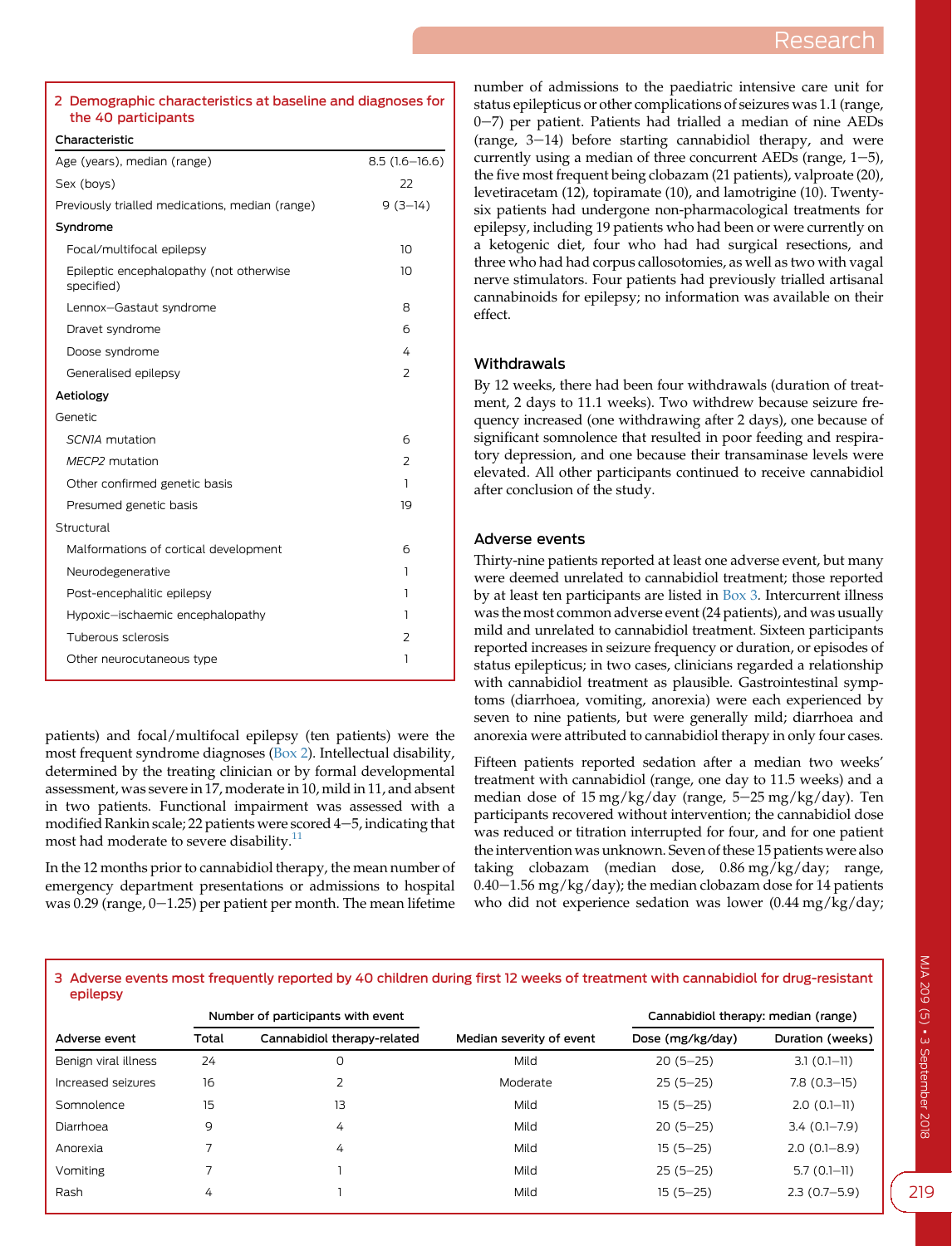#### 2 Demographic characteristics at baseline and diagnoses for the 40 participants

**Characteristic** 

| Age (years), median (range)                           | $8.5(1.6 - 16.6)$ |
|-------------------------------------------------------|-------------------|
| Sex (boys)                                            | 22                |
| Previously trialled medications, median (range)       | $9(3-14)$         |
| Syndrome                                              |                   |
| Focal/multifocal epilepsy                             | 10                |
| Epileptic encephalopathy (not otherwise<br>specified) | 10                |
| Lennox-Gastaut syndrome                               | 8                 |
| Dravet syndrome                                       | б                 |
| Doose syndrome                                        | 4                 |
| Generalised epilepsy                                  | 2                 |
| Aetiology                                             |                   |
| Genetic                                               |                   |
| SCNIA mutation                                        | 6                 |
| MECP2 mutation                                        | $\overline{2}$    |
| Other confirmed genetic basis                         | 1                 |
| Presumed genetic basis                                | 19                |
| Structural                                            |                   |
| Malformations of cortical development                 | 6                 |
| Neurodegenerative                                     | 1                 |
| Post-encephalitic epilepsy                            | 1                 |
| Hypoxic-ischaemic encephalopathy                      | 1                 |
| Tuberous sclerosis                                    | 2                 |
| Other neurocutaneous type                             | 1                 |
|                                                       |                   |

patients) and focal/multifocal epilepsy (ten patients) were the most frequent syndrome diagnoses (Box 2). Intellectual disability, determined by the treating clinician or by formal developmental assessment, was severe in 17, moderate in 10, mild in 11, and absent in two patients. Functional impairment was assessed with a modified Rankin scale; 22 patients were scored  $4-5$ , indicating that most had moderate to severe disability.<sup>[11](#page-4-0)</sup>

In the 12 months prior to cannabidiol therapy, the mean number of emergency department presentations or admissions to hospital was  $0.29$  (range,  $0-1.25$ ) per patient per month. The mean lifetime number of admissions to the paediatric intensive care unit for status epilepticus or other complications of seizures was 1.1 (range,  $0-7$ ) per patient. Patients had trialled a median of nine AEDs (range,  $3-14$ ) before starting cannabidiol therapy, and were currently using a median of three concurrent AEDs (range,  $1-5$ ), the five most frequent being clobazam (21 patients), valproate (20), levetiracetam (12), topiramate (10), and lamotrigine (10). Twentysix patients had undergone non-pharmacological treatments for epilepsy, including 19 patients who had been or were currently on a ketogenic diet, four who had had surgical resections, and three who had had corpus callosotomies, as well as two with vagal nerve stimulators. Four patients had previously trialled artisanal cannabinoids for epilepsy; no information was available on their effect.

# Withdrawals

By 12 weeks, there had been four withdrawals (duration of treatment, 2 days to 11.1 weeks). Two withdrew because seizure frequency increased (one withdrawing after 2 days), one because of significant somnolence that resulted in poor feeding and respiratory depression, and one because their transaminase levels were elevated. All other participants continued to receive cannabidiol after conclusion of the study.

## Adverse events

Thirty-nine patients reported at least one adverse event, but many were deemed unrelated to cannabidiol treatment; those reported by at least ten participants are listed in Box 3. Intercurrent illness was the most common adverse event (24 patients), and was usually mild and unrelated to cannabidiol treatment. Sixteen participants reported increases in seizure frequency or duration, or episodes of status epilepticus; in two cases, clinicians regarded a relationship with cannabidiol treatment as plausible. Gastrointestinal symptoms (diarrhoea, vomiting, anorexia) were each experienced by seven to nine patients, but were generally mild; diarrhoea and anorexia were attributed to cannabidiol therapy in only four cases.

Fifteen patients reported sedation after a median two weeks' treatment with cannabidiol (range, one day to 11.5 weeks) and a median dose of  $15 \text{ mg/kg/day}$  (range,  $5-25 \text{ mg/kg/day}$ ). Ten participants recovered without intervention; the cannabidiol dose was reduced or titration interrupted for four, and for one patient the intervention was unknown. Seven of these 15 patients were also taking clobazam (median dose, 0.86 mg/kg/day; range,  $0.40-1.56$  mg/kg/day); the median clobazam dose for 14 patients who did not experience sedation was lower (0.44 mg/kg/day;

#### 3 Adverse events most frequently reported by 40 children during first 12 weeks of treatment with cannabidiol for drug-resistant epilepsy

|                      | Number of participants with event |                             |                          | Cannabidiol therapy: median (range) |                  |
|----------------------|-----------------------------------|-----------------------------|--------------------------|-------------------------------------|------------------|
| Adverse event        | Total                             | Cannabidiol therapy-related | Median severity of event | Dose (mg/kg/day)                    | Duration (weeks) |
| Benign viral illness | 24                                | 0                           | Mild                     | $20(5-25)$                          | $3.1(0.1-11)$    |
| Increased seizures   | 16                                |                             | Moderate                 | $25(5-25)$                          | $7.8(0.3-15)$    |
| Somnolence           | 15                                | 13                          | Mild                     | $15(5 - 25)$                        | $2.0(0.1-11)$    |
| Diarrhoea            | 9                                 | 4                           | Mild                     | $20(5-25)$                          | $3.4(0.1 - 7.9)$ |
| Anorexia             |                                   | 4                           | Mild                     | $15(5 - 25)$                        | $2.0(0.1 - 8.9)$ |
| Vomiting             |                                   |                             | Mild                     | $25(5-25)$                          | $5.7(0.1-11)$    |
| Rash                 | 4                                 |                             | Mild                     | $15(5 - 25)$                        | $2.3(0.7-5.9)$   |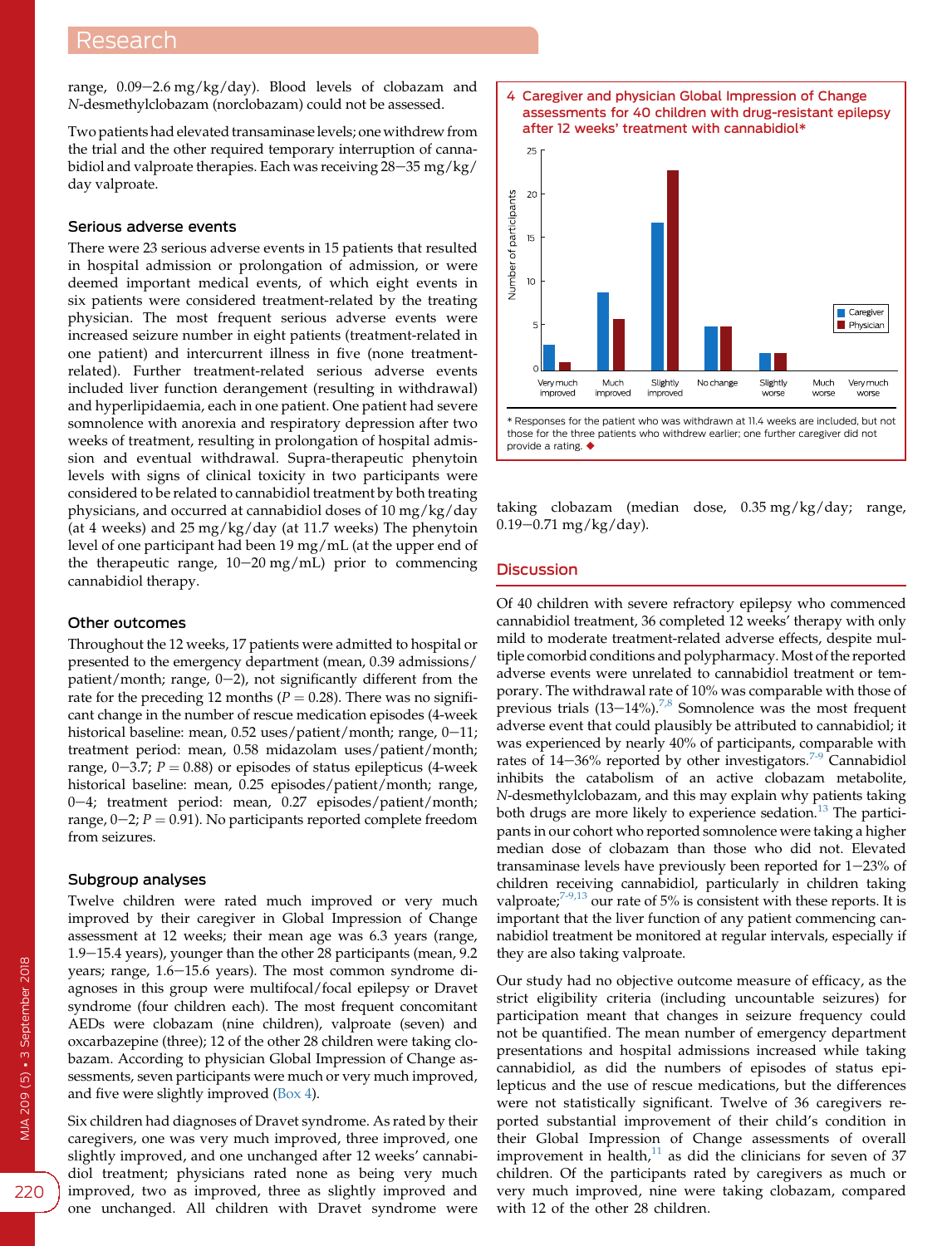range,  $0.09-2.6$  mg/kg/day). Blood levels of clobazam and N-desmethylclobazam (norclobazam) could not be assessed.

Two patients had elevated transaminase levels; one withdrew from the trial and the other required temporary interruption of cannabidiol and valproate therapies. Each was receiving  $28-35$  mg/kg/ day valproate.

#### Serious adverse events

There were 23 serious adverse events in 15 patients that resulted in hospital admission or prolongation of admission, or were deemed important medical events, of which eight events in six patients were considered treatment-related by the treating physician. The most frequent serious adverse events were increased seizure number in eight patients (treatment-related in one patient) and intercurrent illness in five (none treatmentrelated). Further treatment-related serious adverse events included liver function derangement (resulting in withdrawal) and hyperlipidaemia, each in one patient. One patient had severe somnolence with anorexia and respiratory depression after two weeks of treatment, resulting in prolongation of hospital admission and eventual withdrawal. Supra-therapeutic phenytoin levels with signs of clinical toxicity in two participants were considered to be related to cannabidiol treatment by both treating physicians, and occurred at cannabidiol doses of 10 mg/kg/day (at 4 weeks) and 25 mg/kg/day (at 11.7 weeks) The phenytoin level of one participant had been 19 mg/mL (at the upper end of the therapeutic range,  $10-20$  mg/mL) prior to commencing cannabidiol therapy.

### Other outcomes

Throughout the 12 weeks, 17 patients were admitted to hospital or presented to the emergency department (mean, 0.39 admissions/ patient/month; range,  $0-2$ ), not significantly different from the rate for the preceding 12 months ( $P = 0.28$ ). There was no significant change in the number of rescue medication episodes (4-week historical baseline: mean,  $0.52$  uses/patient/month; range,  $0-11$ ; treatment period: mean, 0.58 midazolam uses/patient/month; range,  $0-3.7$ ;  $P = 0.88$ ) or episodes of status epilepticus (4-week historical baseline: mean, 0.25 episodes/patient/month; range, 0-4; treatment period: mean, 0.27 episodes/patient/month; range,  $0-2$ ;  $P = 0.91$ ). No participants reported complete freedom from seizures.

#### Subgroup analyses

Twelve children were rated much improved or very much improved by their caregiver in Global Impression of Change assessment at 12 weeks; their mean age was 6.3 years (range, 1.9-15.4 years), younger than the other 28 participants (mean, 9.2 years; range,  $1.6-15.6$  years). The most common syndrome diagnoses in this group were multifocal/focal epilepsy or Dravet syndrome (four children each). The most frequent concomitant AEDs were clobazam (nine children), valproate (seven) and oxcarbazepine (three); 12 of the other 28 children were taking clobazam. According to physician Global Impression of Change assessments, seven participants were much or very much improved, and five were slightly improved (Box 4).

Six children had diagnoses of Dravet syndrome. As rated by their caregivers, one was very much improved, three improved, one slightly improved, and one unchanged after 12 weeks' cannabidiol treatment; physicians rated none as being very much improved, two as improved, three as slightly improved and one unchanged. All children with Dravet syndrome were



provide a rating.  $\blacklozenge$ 

taking clobazam (median dose, 0.35 mg/kg/day; range,  $0.19 - 0.71$  mg/kg/day).

# **Discussion**

Of 40 children with severe refractory epilepsy who commenced cannabidiol treatment, 36 completed 12 weeks' therapy with only mild to moderate treatment-related adverse effects, despite multiple comorbid conditions and polypharmacy. Most of the reported adverse events were unrelated to cannabidiol treatment or temporary. The withdrawal rate of 10% was comparable with those of previous trials  $(13-14\%)$ .<sup>[7,8](#page-4-0)</sup> Somnolence was the most frequent adverse event that could plausibly be attributed to cannabidiol; it was experienced by nearly 40% of participants, comparable with rates of  $14-36%$  reported by other investigators.<sup>[7-9](#page-4-0)</sup> Cannabidiol inhibits the catabolism of an active clobazam metabolite, N-desmethylclobazam, and this may explain why patients taking both drugs are more likely to experience sedation.<sup>[13](#page-4-0)</sup> The participants in our cohort who reported somnolence were taking a higher median dose of clobazam than those who did not. Elevated transaminase levels have previously been reported for  $1-23%$  of children receiving cannabidiol, particularly in children taking valproate;<sup>[7-9,13](#page-4-0)</sup> our rate of 5% is consistent with these reports. It is important that the liver function of any patient commencing cannabidiol treatment be monitored at regular intervals, especially if they are also taking valproate.

Our study had no objective outcome measure of efficacy, as the strict eligibility criteria (including uncountable seizures) for participation meant that changes in seizure frequency could not be quantified. The mean number of emergency department presentations and hospital admissions increased while taking cannabidiol, as did the numbers of episodes of status epilepticus and the use of rescue medications, but the differences were not statistically significant. Twelve of 36 caregivers reported substantial improvement of their child's condition in their Global Impression of Change assessments of overall improvement in health, $11$  as did the clinicians for seven of 37 children. Of the participants rated by caregivers as much or very much improved, nine were taking clobazam, compared with 12 of the other 28 children.